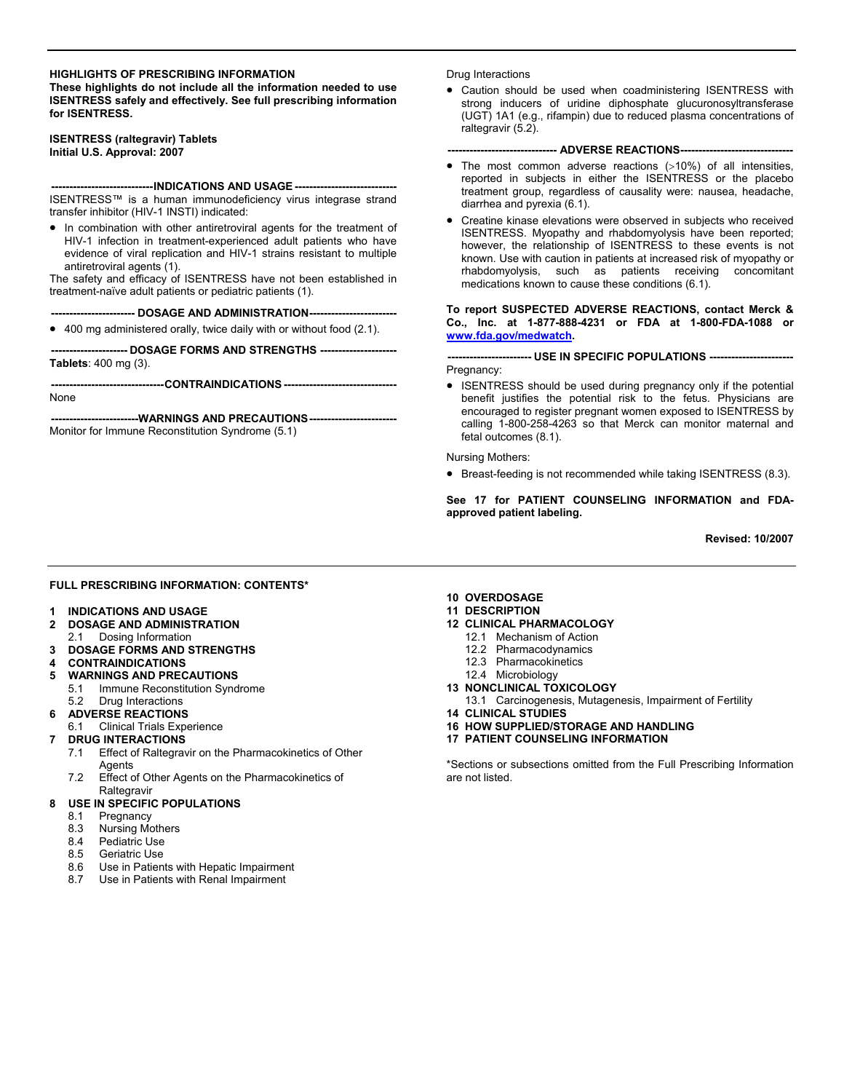#### **HIGHLIGHTS OF PRESCRIBING INFORMATION**

**These highlights do not include all the information needed to use ISENTRESS safely and effectively. See full prescribing information for ISENTRESS.** 

**ISENTRESS (raltegravir) Tablets Initial U.S. Approval: 2007** 

**----------------------------INDICATIONS AND USAGE ----------------------------** 

ISENTRESS™ is a human immunodeficiency virus integrase strand transfer inhibitor (HIV-1 INSTI) indicated:

• In combination with other antiretroviral agents for the treatment of HIV-1 infection in treatment-experienced adult patients who have evidence of viral replication and HIV-1 strains resistant to multiple antiretroviral agents (1).

The safety and efficacy of ISENTRESS have not been established in treatment-naïve adult patients or pediatric patients (1).

**----------------------- DOSAGE AND ADMINISTRATION------------------------** 

• 400 mg administered orally, twice daily with or without food (2.1).

**--------------------- DOSAGE FORMS AND STRENGTHS --------------------- Tablets**: 400 mg (3).

**-------------------------------CONTRAINDICATIONS -------------------------------** 

None

**------------------------WARNINGS AND PRECAUTIONS------------------------** 

Monitor for Immune Reconstitution Syndrome (5.1)

#### Drug Interactions

• Caution should be used when coadministering ISENTRESS with strong inducers of uridine diphosphate glucuronosyltransferase (UGT) 1A1 (e.g., rifampin) due to reduced plasma concentrations of raltegravir (5.2).

#### **----- ADVERSE REACTIONS---**

- The most common adverse reactions (>10%) of all intensities, reported in subjects in either the ISENTRESS or the placebo treatment group, regardless of causality were: nausea, headache, diarrhea and pyrexia (6.1).
- Creatine kinase elevations were observed in subjects who received ISENTRESS. Myopathy and rhabdomyolysis have been reported; however, the relationship of ISENTRESS to these events is not known. Use with caution in patients at increased risk of myopathy or rhabdomyolysis, such as patients receiving concomitant medications known to cause these conditions (6.1).

#### **To report SUSPECTED ADVERSE REACTIONS, contact Merck & Co., Inc. at 1-877-888-4231 or FDA at 1-800-FDA-1088 or [www.fda.gov/medwatch](http://www.fda.gov/medwatch).**

**----------------------- USE IN SPECIFIC POPULATIONS -----------------------**  Pregnancy:

• ISENTRESS should be used during pregnancy only if the potential benefit justifies the potential risk to the fetus. Physicians are encouraged to register pregnant women exposed to ISENTRESS by calling 1-800-258-4263 so that Merck can monitor maternal and fetal outcomes (8.1).

Nursing Mothers:

• Breast-feeding is not recommended while taking ISENTRESS (8.3).

**See 17 for PATIENT COUNSELING INFORMATION and FDAapproved patient labeling.** 

 **Revised: 10/2007** 

#### **FULL PRESCRIBING INFORMATION: CONTENTS\***

- **1 INDICATIONS AND USAGE**
- **2 DOSAGE AND ADMINISTRATION**
- 2.1 Dosing Information
- **3 DOSAGE FORMS AND STRENGTHS**
- **4 CONTRAINDICATIONS**
- **5 WARNINGS AND PRECAUTIONS** 
	- 5.1 Immune Reconstitution Syndrome
- 5.2 Drug Interactions
- **6 ADVERSE REACTIONS**
- 6.1 Clinical Trials Experience
- **7 DRUG INTERACTIONS** 
	- 7.1 Effect of Raltegravir on the Pharmacokinetics of Other **Agents**
	- 7.2 Effect of Other Agents on the Pharmacokinetics of **Raltegravir**

#### **8 USE IN SPECIFIC POPULATIONS**

- 8.1 Pregnancy
- 8.3 Nursing Mothers
- 8.4 Pediatric Use
- 8.5 Geriatric Use
- 8.6 Use in Patients with Hepatic Impairment
- 8.7 Use in Patients with Renal Impairment

### **10 OVERDOSAGE**

- **11 DESCRIPTION**
- **12 CLINICAL PHARMACOLOGY** 
	- 12.1 Mechanism of Action
	- 12.2 Pharmacodynamics
	- 12.3 Pharmacokinetics
	- 12.4 Microbiology
- **13 NONCLINICAL TOXICOLOGY** 
	- 13.1 Carcinogenesis, Mutagenesis, Impairment of Fertility
- **14 CLINICAL STUDIES**
- **16 HOW SUPPLIED/STORAGE AND HANDLING**
- **17 PATIENT COUNSELING INFORMATION**

\*Sections or subsections omitted from the Full Prescribing Information are not listed.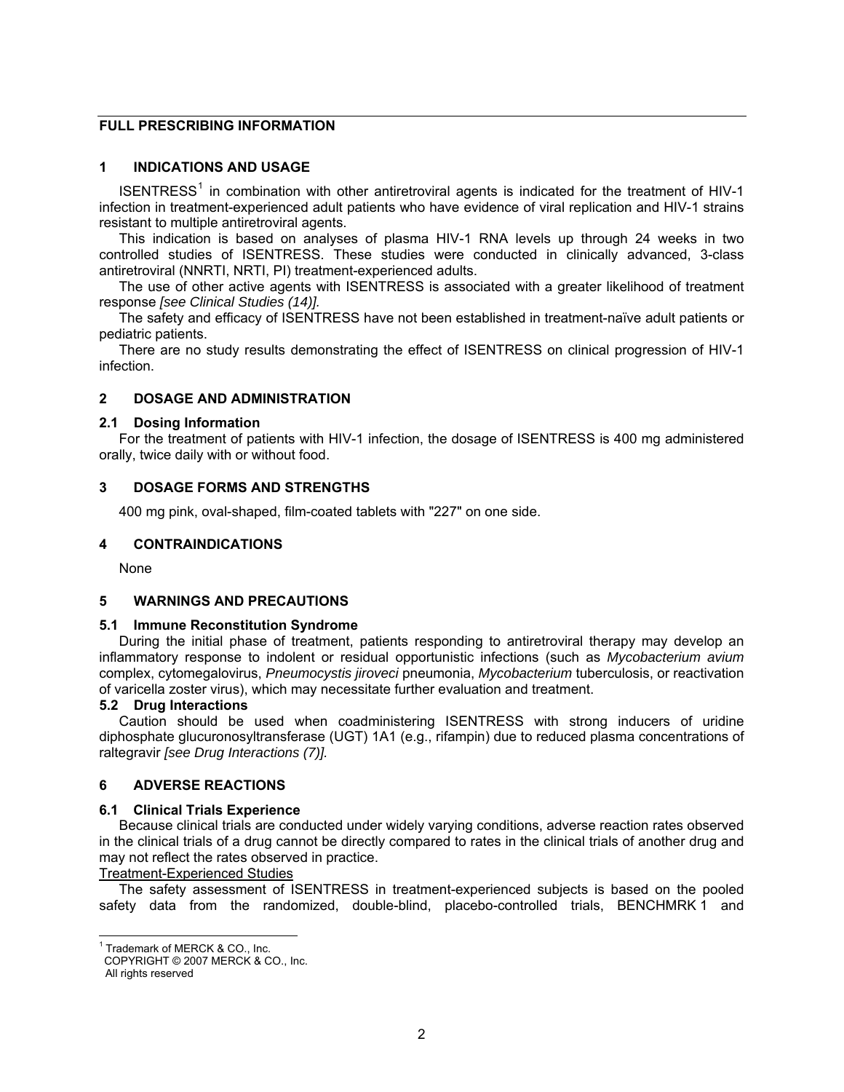# **FULL PRESCRIBING INFORMATION**

# **1 INDICATIONS AND USAGE**

ISENTRESS<sup>[1](#page-1-0)</sup> in combination with other antiretroviral agents is indicated for the treatment of HIV-1 infection in treatment-experienced adult patients who have evidence of viral replication and HIV-1 strains resistant to multiple antiretroviral agents.

This indication is based on analyses of plasma HIV-1 RNA levels up through 24 weeks in two controlled studies of ISENTRESS. These studies were conducted in clinically advanced, 3-class antiretroviral (NNRTI, NRTI, PI) treatment-experienced adults.

The use of other active agents with ISENTRESS is associated with a greater likelihood of treatment response *[see Clinical Studies (14)].* 

The safety and efficacy of ISENTRESS have not been established in treatment-naïve adult patients or pediatric patients.

There are no study results demonstrating the effect of ISENTRESS on clinical progression of HIV-1 infection.

## **2 DOSAGE AND ADMINISTRATION**

#### **2.1 Dosing Information**

For the treatment of patients with HIV-1 infection, the dosage of ISENTRESS is 400 mg administered orally, twice daily with or without food.

## **3 DOSAGE FORMS AND STRENGTHS**

400 mg pink, oval-shaped, film-coated tablets with "227" on one side.

### **4 CONTRAINDICATIONS**

None

### **5 WARNINGS AND PRECAUTIONS**

### **5.1 Immune Reconstitution Syndrome**

During the initial phase of treatment, patients responding to antiretroviral therapy may develop an inflammatory response to indolent or residual opportunistic infections (such as *Mycobacterium avium*  complex, cytomegalovirus, *Pneumocystis jiroveci* pneumonia, *Mycobacterium* tuberculosis, or reactivation of varicella zoster virus), which may necessitate further evaluation and treatment.

## **5.2 Drug Interactions**

Caution should be used when coadministering ISENTRESS with strong inducers of uridine diphosphate glucuronosyltransferase (UGT) 1A1 (e.g., rifampin) due to reduced plasma concentrations of raltegravir *[see Drug Interactions (7)].* 

## **6 ADVERSE REACTIONS**

### **6.1 Clinical Trials Experience**

Because clinical trials are conducted under widely varying conditions, adverse reaction rates observed in the clinical trials of a drug cannot be directly compared to rates in the clinical trials of another drug and may not reflect the rates observed in practice.

#### Treatment-Experienced Studies

The safety assessment of ISENTRESS in treatment-experienced subjects is based on the pooled safety data from the randomized, double-blind, placebo-controlled trials, BENCHMRK 1 and

<span id="page-1-0"></span>l <sup>1</sup> Trademark of MERCK & CO., Inc.

COPYRIGHT © 2007 MERCK & CO., Inc.

All rights reserved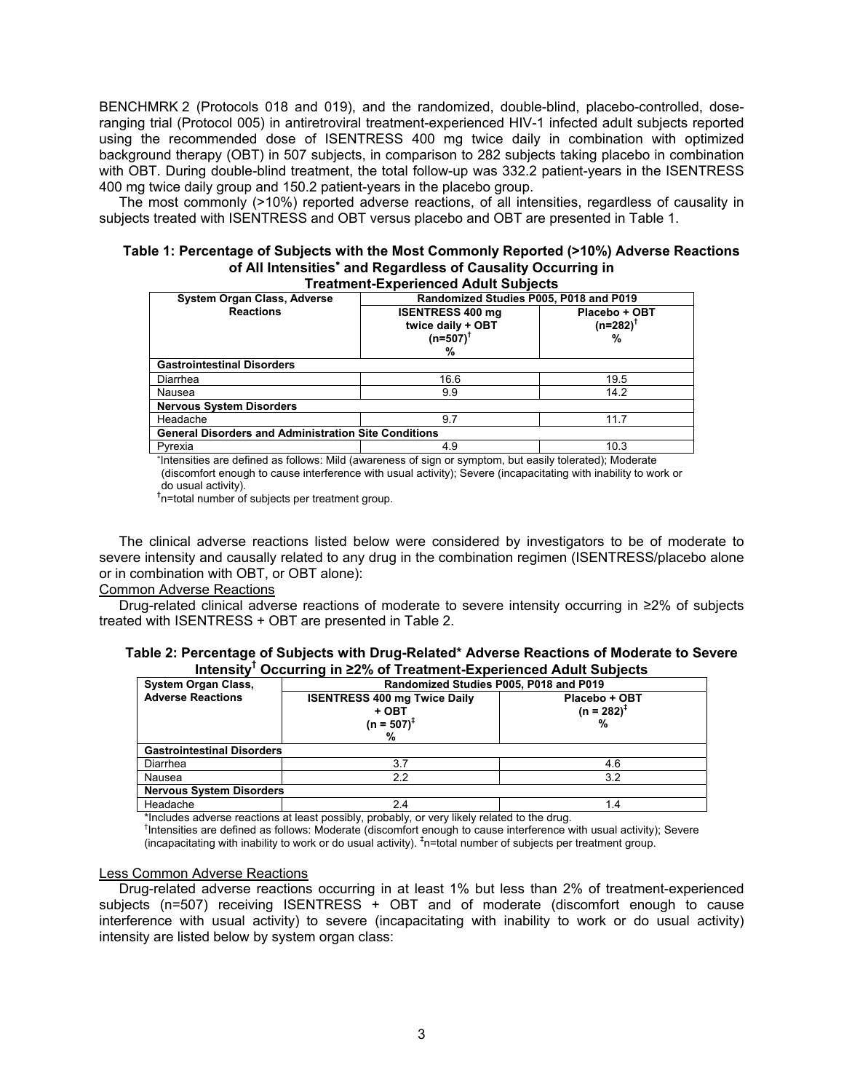BENCHMRK 2 (Protocols 018 and 019), and the randomized, double-blind, placebo-controlled, doseranging trial (Protocol 005) in antiretroviral treatment-experienced HIV-1 infected adult subjects reported using the recommended dose of ISENTRESS 400 mg twice daily in combination with optimized background therapy (OBT) in 507 subjects, in comparison to 282 subjects taking placebo in combination with OBT. During double-blind treatment, the total follow-up was 332.2 patient-years in the ISENTRESS 400 mg twice daily group and 150.2 patient-years in the placebo group.

The most commonly (>10%) reported adverse reactions, of all intensities, regardless of causality in subjects treated with ISENTRESS and OBT versus placebo and OBT are presented in Table 1.

#### **Table 1: Percentage of Subjects with the Most Commonly Reported (>10%) Adverse Reactions of All Intensities**<sup>∗</sup>  **and Regardless of Causality Occurring in Treatment-Experienced Adult Subjects**

|                                                             | Treatment-Experienced Addit Subjects                               |                                   |  |  |  |  |  |
|-------------------------------------------------------------|--------------------------------------------------------------------|-----------------------------------|--|--|--|--|--|
| <b>System Organ Class, Adverse</b>                          | Randomized Studies P005, P018 and P019                             |                                   |  |  |  |  |  |
| <b>Reactions</b>                                            | <b>ISENTRESS 400 mg</b><br>twice daily + OBT<br>$(n=507)^{T}$<br>% | Placebo + OBT<br>$(n=282)^T$<br>% |  |  |  |  |  |
| <b>Gastrointestinal Disorders</b>                           |                                                                    |                                   |  |  |  |  |  |
| Diarrhea                                                    | 16.6                                                               | 19.5                              |  |  |  |  |  |
| Nausea                                                      | 9.9                                                                | 14.2                              |  |  |  |  |  |
| <b>Nervous System Disorders</b>                             |                                                                    |                                   |  |  |  |  |  |
| Headache                                                    | 9.7                                                                | 11.7                              |  |  |  |  |  |
| <b>General Disorders and Administration Site Conditions</b> |                                                                    |                                   |  |  |  |  |  |
| Pyrexia                                                     | 4.9                                                                | 10.3                              |  |  |  |  |  |

∗ Intensities are defined as follows: Mild (awareness of sign or symptom, but easily tolerated); Moderate (discomfort enough to cause interference with usual activity); Severe (incapacitating with inability to work or do usual activity).

**†** n=total number of subjects per treatment group.

The clinical adverse reactions listed below were considered by investigators to be of moderate to severe intensity and causally related to any drug in the combination regimen (ISENTRESS/placebo alone or in combination with OBT, or OBT alone):

#### Common Adverse Reactions

Drug-related clinical adverse reactions of moderate to severe intensity occurring in ≥2% of subjects treated with ISENTRESS + OBT are presented in Table 2.

| Table 2: Percentage of Subjects with Drug-Related* Adverse Reactions of Moderate to Severe |                                                                                 |  |  |
|--------------------------------------------------------------------------------------------|---------------------------------------------------------------------------------|--|--|
|                                                                                            | Intensity <sup>™</sup> Occurring in ≥2% of Treatment-Experienced Adult Subjects |  |  |

| <b>System Organ Class,</b>        | Randomized Studies P005, P018 and P019                             |                                  |  |  |  |  |  |
|-----------------------------------|--------------------------------------------------------------------|----------------------------------|--|--|--|--|--|
| <b>Adverse Reactions</b>          | <b>ISENTRESS 400 mg Twice Daily</b><br>+ OBT<br>$(n = 507)^+$<br>% | Placebo + OBT<br>$(n = 282)^{T}$ |  |  |  |  |  |
| <b>Gastrointestinal Disorders</b> |                                                                    |                                  |  |  |  |  |  |
| Diarrhea                          | 3.7                                                                | 4.6                              |  |  |  |  |  |
| Nausea                            | 2.2                                                                | 3.2                              |  |  |  |  |  |
| <b>Nervous System Disorders</b>   |                                                                    |                                  |  |  |  |  |  |
| Headache                          | 2.4                                                                | 1.4                              |  |  |  |  |  |

\*Includes adverse reactions at least possibly, probably, or very likely related to the drug. †

<sup>†</sup>Intensities are defined as follows: Moderate (discomfort enough to cause interference with usual activity); Severe (incapacitating with inability to work or do usual activity).  $\frac{1}{n}$ =total number of subjects per treatment group.

#### Less Common Adverse Reactions

Drug-related adverse reactions occurring in at least 1% but less than 2% of treatment-experienced subjects (n=507) receiving ISENTRESS + OBT and of moderate (discomfort enough to cause interference with usual activity) to severe (incapacitating with inability to work or do usual activity) intensity are listed below by system organ class: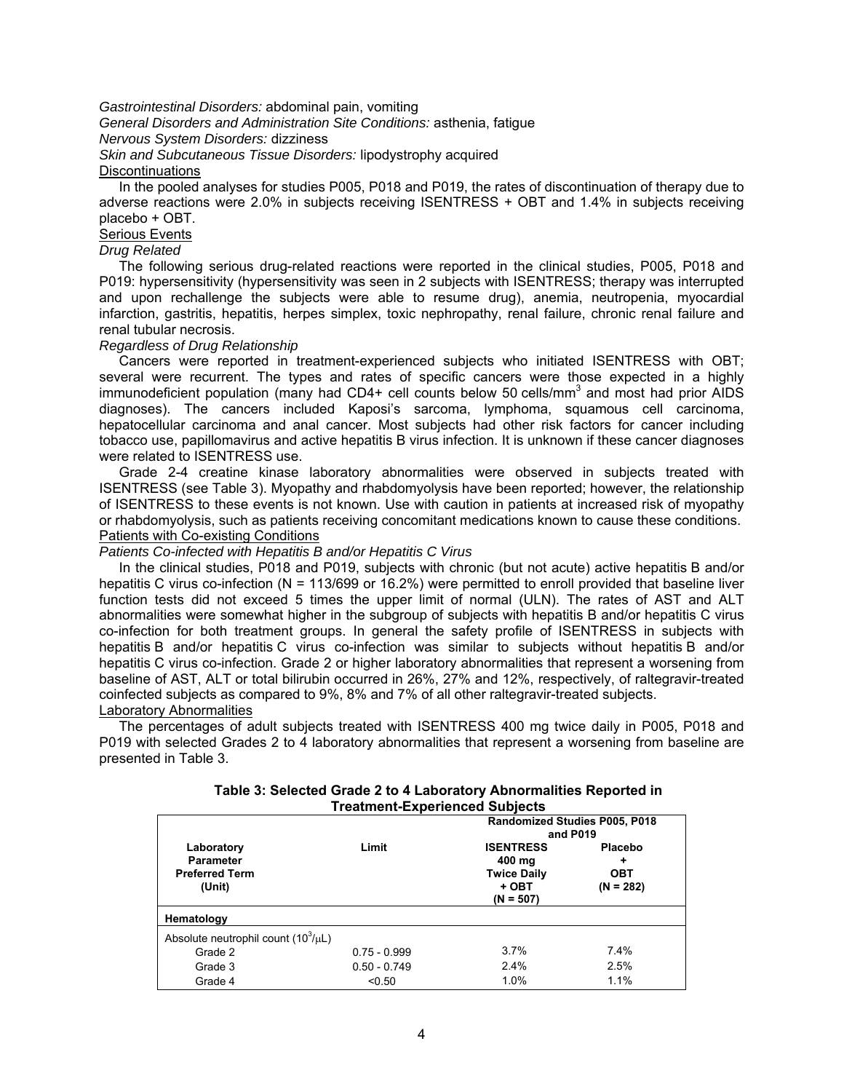*Gastrointestinal Disorders:* abdominal pain, vomiting

*General Disorders and Administration Site Conditions:* asthenia, fatigue

*Nervous System Disorders:* dizziness

*Skin and Subcutaneous Tissue Disorders:* lipodystrophy acquired

# **Discontinuations**

In the pooled analyses for studies P005, P018 and P019, the rates of discontinuation of therapy due to adverse reactions were 2.0% in subjects receiving ISENTRESS + OBT and 1.4% in subjects receiving placebo + OBT.

# **Serious Events**

# *Drug Related*

The following serious drug-related reactions were reported in the clinical studies, P005, P018 and P019: hypersensitivity (hypersensitivity was seen in 2 subjects with ISENTRESS; therapy was interrupted and upon rechallenge the subjects were able to resume drug), anemia, neutropenia, myocardial infarction, gastritis, hepatitis, herpes simplex, toxic nephropathy, renal failure, chronic renal failure and renal tubular necrosis.

### *Regardless of Drug Relationship*

Cancers were reported in treatment-experienced subjects who initiated ISENTRESS with OBT; several were recurrent. The types and rates of specific cancers were those expected in a highly immunodeficient population (many had CD4+ cell counts below 50 cells/mm<sup>3</sup> and most had prior AIDS diagnoses). The cancers included Kaposi's sarcoma, lymphoma, squamous cell carcinoma, hepatocellular carcinoma and anal cancer. Most subjects had other risk factors for cancer including tobacco use, papillomavirus and active hepatitis B virus infection. It is unknown if these cancer diagnoses were related to ISENTRESS use.

Grade 2-4 creatine kinase laboratory abnormalities were observed in subjects treated with ISENTRESS (see Table 3). Myopathy and rhabdomyolysis have been reported; however, the relationship of ISENTRESS to these events is not known. Use with caution in patients at increased risk of myopathy or rhabdomyolysis, such as patients receiving concomitant medications known to cause these conditions. Patients with Co-existing Conditions

### *Patients Co-infected with Hepatitis B and/or Hepatitis C Virus*

In the clinical studies, P018 and P019, subjects with chronic (but not acute) active hepatitis B and/or hepatitis C virus co-infection (N = 113/699 or 16.2%) were permitted to enroll provided that baseline liver function tests did not exceed 5 times the upper limit of normal (ULN). The rates of AST and ALT abnormalities were somewhat higher in the subgroup of subjects with hepatitis B and/or hepatitis C virus co-infection for both treatment groups. In general the safety profile of ISENTRESS in subjects with hepatitis B and/or hepatitis C virus co-infection was similar to subjects without hepatitis B and/or hepatitis C virus co-infection. Grade 2 or higher laboratory abnormalities that represent a worsening from baseline of AST, ALT or total bilirubin occurred in 26%, 27% and 12%, respectively, of raltegravir-treated coinfected subjects as compared to 9%, 8% and 7% of all other raltegravir-treated subjects. Laboratory Abnormalities

The percentages of adult subjects treated with ISENTRESS 400 mg twice daily in P005, P018 and P019 with selected Grades 2 to 4 laboratory abnormalities that represent a worsening from baseline are presented in Table 3.

| Table 3: Selected Grade 2 to 4 Laboratory Abnormalities Reported in |  |
|---------------------------------------------------------------------|--|
| <b>Treatment-Experienced Subjects</b>                               |  |

| Laboratory<br><b>Parameter</b><br><b>Preferred Term</b><br>(Unit) | Limit          | Randomized Studies P005, P018<br>and P019<br><b>ISENTRESS</b><br>400 mg<br><b>Twice Daily</b><br>+ OBT<br>$(N = 507)$ | Placebo<br>٠<br><b>OBT</b><br>$(N = 282)$ |  |
|-------------------------------------------------------------------|----------------|-----------------------------------------------------------------------------------------------------------------------|-------------------------------------------|--|
| Hematology                                                        |                |                                                                                                                       |                                           |  |
| Absolute neutrophil count $(10^3/\mu L)$                          |                |                                                                                                                       |                                           |  |
| Grade 2                                                           | $0.75 - 0.999$ | 3.7%                                                                                                                  | 7.4%                                      |  |
| Grade 3                                                           | $0.50 - 0.749$ | 2.4%                                                                                                                  | 2.5%                                      |  |
| Grade 4                                                           | < 0.50         | 1.0%                                                                                                                  | 1.1%                                      |  |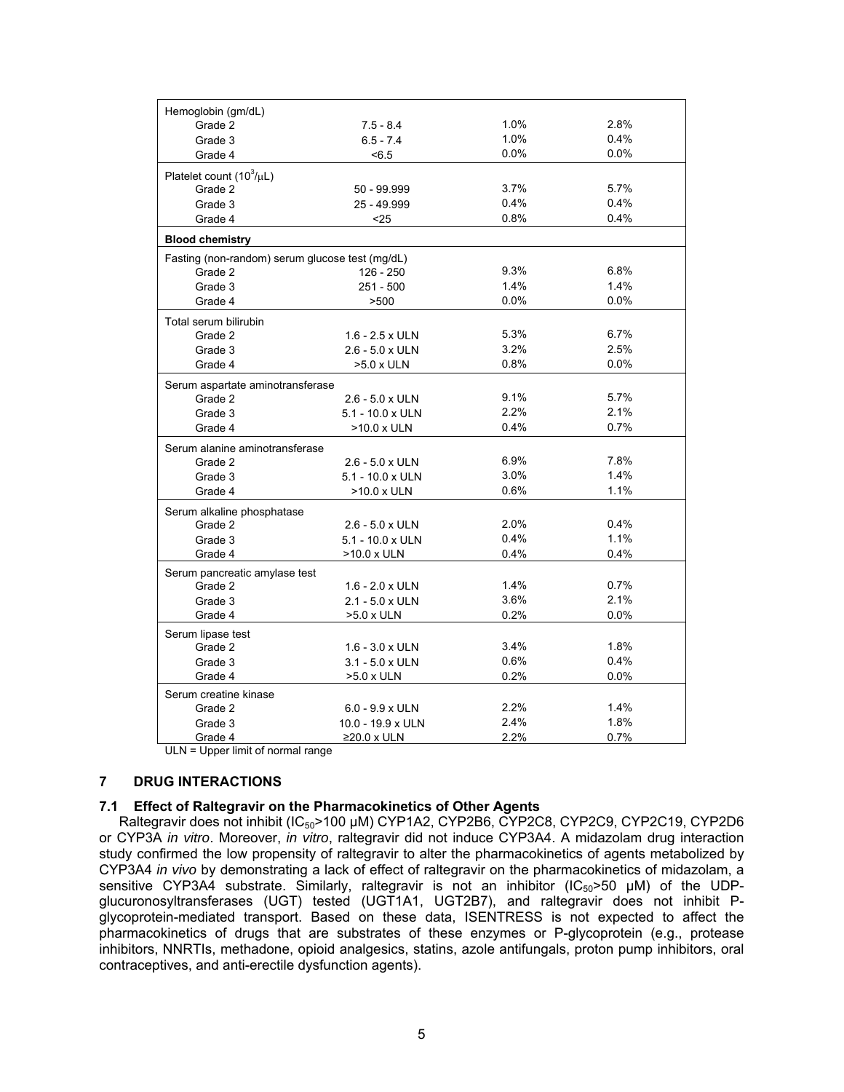| Hemoglobin (gm/dL)                              |                         |      |      |
|-------------------------------------------------|-------------------------|------|------|
| Grade 2                                         | $7.5 - 8.4$             | 1.0% | 2.8% |
| Grade 3                                         | $6.5 - 7.4$             | 1.0% | 0.4% |
| Grade 4                                         | < 6.5                   | 0.0% | 0.0% |
| Platelet count $(10^3/\mu L)$                   |                         |      |      |
| Grade 2                                         | 50 - 99.999             | 3.7% | 5.7% |
| Grade 3                                         | 25 - 49.999             | 0.4% | 0.4% |
| Grade 4                                         | $25$                    | 0.8% | 0.4% |
| <b>Blood chemistry</b>                          |                         |      |      |
| Fasting (non-random) serum glucose test (mg/dL) |                         |      |      |
| Grade 2                                         | 126 - 250               | 9.3% | 6.8% |
| Grade 3                                         | $251 - 500$             | 1.4% | 1.4% |
| Grade 4                                         | >500                    | 0.0% | 0.0% |
| Total serum bilirubin                           |                         |      |      |
| Grade 2                                         | $1.6 - 2.5 \times ULN$  | 5.3% | 6.7% |
| Grade 3                                         | $2.6 - 5.0 \times ULN$  | 3.2% | 2.5% |
| Grade 4                                         | $>5.0$ x ULN            | 0.8% | 0.0% |
| Serum aspartate aminotransferase                |                         |      |      |
| Grade 2                                         | $2.6 - 5.0 \times ULN$  | 9.1% | 5.7% |
| Grade 3                                         | 5.1 - 10.0 x ULN        | 2.2% | 2.1% |
| Grade 4                                         | >10.0 x ULN             | 0.4% | 0.7% |
| Serum alanine aminotransferase                  |                         |      |      |
| Grade 2                                         | 2.6 - 5.0 x ULN         | 6.9% | 7.8% |
| Grade 3                                         | $5.1 - 10.0 \times ULN$ | 3.0% | 1.4% |
| Grade 4                                         | $>10.0 \times ULN$      | 0.6% | 1.1% |
| Serum alkaline phosphatase                      |                         |      |      |
| Grade 2                                         | $2.6 - 5.0 \times ULN$  | 2.0% | 0.4% |
| Grade 3                                         | $5.1 - 10.0 \times ULN$ | 0.4% | 1.1% |
| Grade 4                                         | >10.0 x ULN             | 0.4% | 0.4% |
| Serum pancreatic amylase test                   |                         |      |      |
| Grade 2                                         | $1.6 - 2.0 \times ULN$  | 1.4% | 0.7% |
| Grade 3                                         | $2.1 - 5.0 \times ULN$  | 3.6% | 2.1% |
| Grade 4                                         | >5.0 x ULN              | 0.2% | 0.0% |
| Serum lipase test                               |                         |      |      |
| Grade 2                                         | $1.6 - 3.0 \times ULN$  | 3.4% | 1.8% |
| Grade 3                                         | $3.1 - 5.0 \times ULN$  | 0.6% | 0.4% |
| Grade 4                                         | >5.0 x ULN              | 0.2% | 0.0% |
| Serum creatine kinase                           |                         |      |      |
| Grade 2                                         | $6.0 - 9.9 \times ULN$  | 2.2% | 1.4% |
| Grade 3                                         | 10.0 - 19.9 x ULN       | 2.4% | 1.8% |
| Grade 4                                         | $≥20.0$ x ULN           | 2.2% | 0.7% |

ULN = Upper limit of normal range

# **7 DRUG INTERACTIONS**

### **7.1 Effect of Raltegravir on the Pharmacokinetics of Other Agents**

Raltegravir does not inhibit (IC<sub>50</sub>>100 µM) CYP1A2, CYP2B6, CYP2C8, CYP2C9, CYP2C19, CYP2D6 or CYP3A *in vitro*. Moreover, *in vitro*, raltegravir did not induce CYP3A4. A midazolam drug interaction study confirmed the low propensity of raltegravir to alter the pharmacokinetics of agents metabolized by CYP3A4 *in vivo* by demonstrating a lack of effect of raltegravir on the pharmacokinetics of midazolam, a sensitive CYP3A4 substrate. Similarly, raltegravir is not an inhibitor  $(IC_{50} > 50 \mu M)$  of the UDPglucuronosyltransferases (UGT) tested (UGT1A1, UGT2B7), and raltegravir does not inhibit Pglycoprotein-mediated transport. Based on these data, ISENTRESS is not expected to affect the pharmacokinetics of drugs that are substrates of these enzymes or P-glycoprotein (e.g., protease inhibitors, NNRTIs, methadone, opioid analgesics, statins, azole antifungals, proton pump inhibitors, oral contraceptives, and anti-erectile dysfunction agents).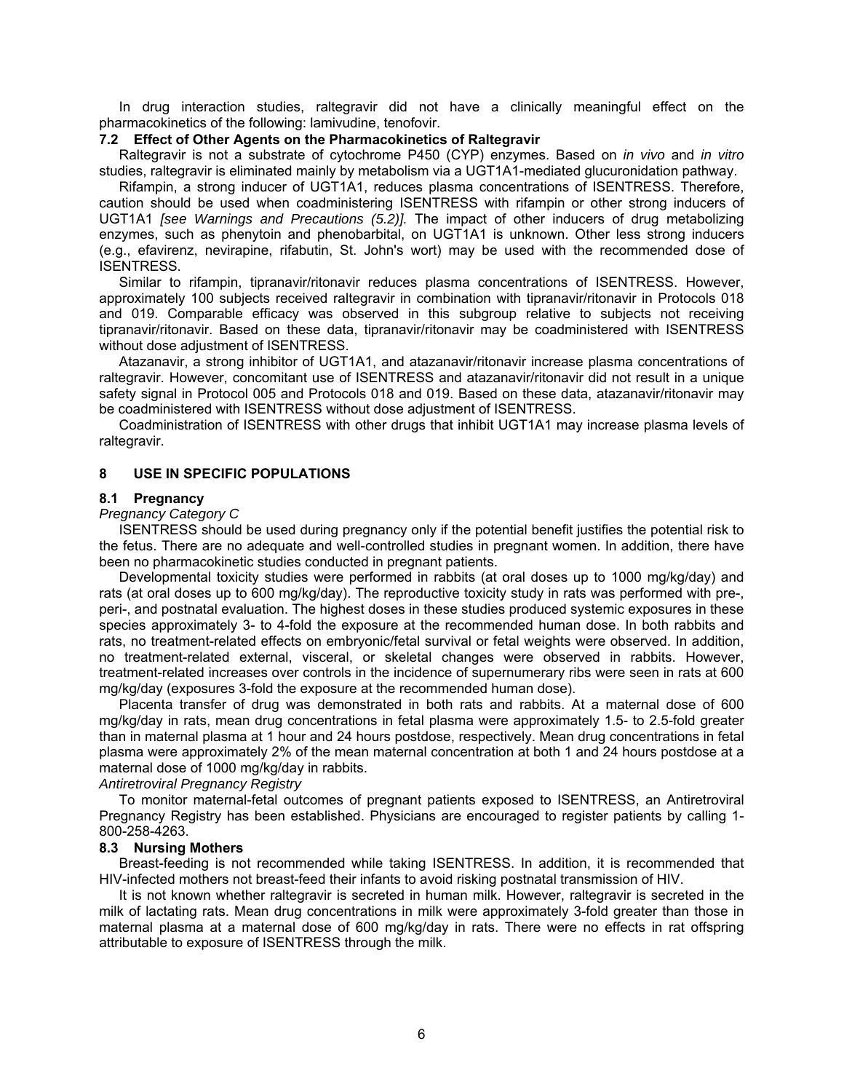In drug interaction studies, raltegravir did not have a clinically meaningful effect on the pharmacokinetics of the following: lamivudine, tenofovir.

## **7.2 Effect of Other Agents on the Pharmacokinetics of Raltegravir**

Raltegravir is not a substrate of cytochrome P450 (CYP) enzymes. Based on *in vivo* and *in vitro*  studies, raltegravir is eliminated mainly by metabolism via a UGT1A1-mediated glucuronidation pathway.

Rifampin, a strong inducer of UGT1A1, reduces plasma concentrations of ISENTRESS. Therefore, caution should be used when coadministering ISENTRESS with rifampin or other strong inducers of UGT1A1 *[see Warnings and Precautions (5.2)].* The impact of other inducers of drug metabolizing enzymes, such as phenytoin and phenobarbital, on UGT1A1 is unknown. Other less strong inducers (e.g., efavirenz, nevirapine, rifabutin, St. John's wort) may be used with the recommended dose of ISENTRESS.

Similar to rifampin, tipranavir/ritonavir reduces plasma concentrations of ISENTRESS. However, approximately 100 subjects received raltegravir in combination with tipranavir/ritonavir in Protocols 018 and 019. Comparable efficacy was observed in this subgroup relative to subjects not receiving tipranavir/ritonavir. Based on these data, tipranavir/ritonavir may be coadministered with ISENTRESS without dose adjustment of ISENTRESS.

Atazanavir, a strong inhibitor of UGT1A1, and atazanavir/ritonavir increase plasma concentrations of raltegravir. However, concomitant use of ISENTRESS and atazanavir/ritonavir did not result in a unique safety signal in Protocol 005 and Protocols 018 and 019. Based on these data, atazanavir/ritonavir may be coadministered with ISENTRESS without dose adjustment of ISENTRESS.

Coadministration of ISENTRESS with other drugs that inhibit UGT1A1 may increase plasma levels of raltegravir.

#### **8 USE IN SPECIFIC POPULATIONS**

#### **8.1 Pregnancy**

#### *Pregnancy Category C*

ISENTRESS should be used during pregnancy only if the potential benefit justifies the potential risk to the fetus. There are no adequate and well-controlled studies in pregnant women. In addition, there have been no pharmacokinetic studies conducted in pregnant patients.

Developmental toxicity studies were performed in rabbits (at oral doses up to 1000 mg/kg/day) and rats (at oral doses up to 600 mg/kg/day). The reproductive toxicity study in rats was performed with pre-, peri-, and postnatal evaluation. The highest doses in these studies produced systemic exposures in these species approximately 3- to 4-fold the exposure at the recommended human dose. In both rabbits and rats, no treatment-related effects on embryonic/fetal survival or fetal weights were observed. In addition, no treatment-related external, visceral, or skeletal changes were observed in rabbits. However, treatment-related increases over controls in the incidence of supernumerary ribs were seen in rats at 600 mg/kg/day (exposures 3-fold the exposure at the recommended human dose).

Placenta transfer of drug was demonstrated in both rats and rabbits. At a maternal dose of 600 mg/kg/day in rats, mean drug concentrations in fetal plasma were approximately 1.5- to 2.5-fold greater than in maternal plasma at 1 hour and 24 hours postdose, respectively. Mean drug concentrations in fetal plasma were approximately 2% of the mean maternal concentration at both 1 and 24 hours postdose at a maternal dose of 1000 mg/kg/day in rabbits.

#### *Antiretroviral Pregnancy Registry*

To monitor maternal-fetal outcomes of pregnant patients exposed to ISENTRESS, an Antiretroviral Pregnancy Registry has been established. Physicians are encouraged to register patients by calling 1- 800-258-4263.

#### **8.3 Nursing Mothers**

Breast-feeding is not recommended while taking ISENTRESS. In addition, it is recommended that HIV-infected mothers not breast-feed their infants to avoid risking postnatal transmission of HIV.

It is not known whether raltegravir is secreted in human milk. However, raltegravir is secreted in the milk of lactating rats. Mean drug concentrations in milk were approximately 3-fold greater than those in maternal plasma at a maternal dose of 600 mg/kg/day in rats. There were no effects in rat offspring attributable to exposure of ISENTRESS through the milk.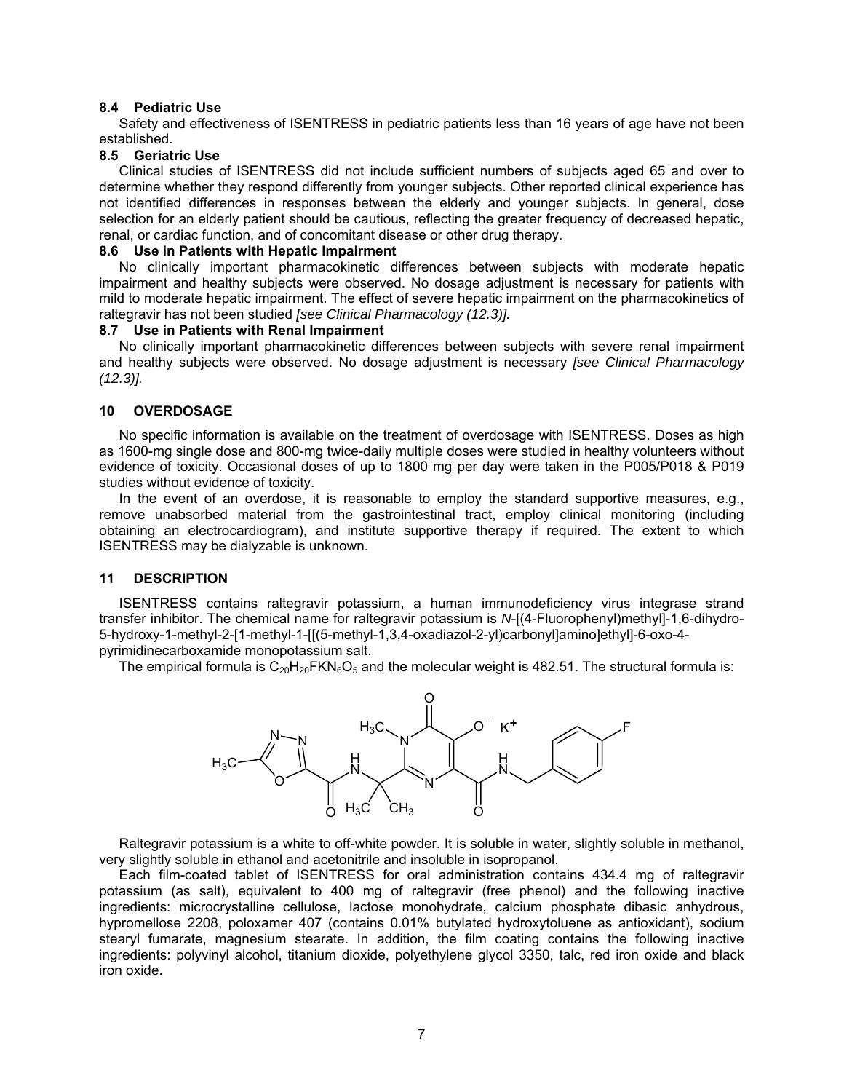### **8.4 Pediatric Use**

Safety and effectiveness of ISENTRESS in pediatric patients less than 16 years of age have not been established.

#### **8.5 Geriatric Use**

Clinical studies of ISENTRESS did not include sufficient numbers of subjects aged 65 and over to determine whether they respond differently from younger subjects. Other reported clinical experience has not identified differences in responses between the elderly and younger subjects. In general, dose selection for an elderly patient should be cautious, reflecting the greater frequency of decreased hepatic, renal, or cardiac function, and of concomitant disease or other drug therapy.

#### **8.6 Use in Patients with Hepatic Impairment**

No clinically important pharmacokinetic differences between subjects with moderate hepatic impairment and healthy subjects were observed. No dosage adjustment is necessary for patients with mild to moderate hepatic impairment. The effect of severe hepatic impairment on the pharmacokinetics of raltegravir has not been studied *[see Clinical Pharmacology (12.3)].*

#### **8.7 Use in Patients with Renal Impairment**

No clinically important pharmacokinetic differences between subjects with severe renal impairment and healthy subjects were observed. No dosage adjustment is necessary *[see Clinical Pharmacology (12.3)].*

### **10 OVERDOSAGE**

No specific information is available on the treatment of overdosage with ISENTRESS. Doses as high as 1600-mg single dose and 800-mg twice-daily multiple doses were studied in healthy volunteers without evidence of toxicity. Occasional doses of up to 1800 mg per day were taken in the P005/P018 & P019 studies without evidence of toxicity.

In the event of an overdose, it is reasonable to employ the standard supportive measures, e.g., remove unabsorbed material from the gastrointestinal tract, employ clinical monitoring (including obtaining an electrocardiogram), and institute supportive therapy if required. The extent to which ISENTRESS may be dialyzable is unknown.

#### **11 DESCRIPTION**

ISENTRESS contains raltegravir potassium, a human immunodeficiency virus integrase strand transfer inhibitor. The chemical name for raltegravir potassium is *N*-[(4-Fluorophenyl)methyl]-1,6-dihydro-5-hydroxy-1-methyl-2-[1-methyl-1-[[(5-methyl-1,3,4-oxadiazol-2-yl)carbonyl]amino]ethyl]-6-oxo-4 pyrimidinecarboxamide monopotassium salt.

The empirical formula is  $C_{20}H_{20}FKN_6O_5$  and the molecular weight is 482.51. The structural formula is:



Raltegravir potassium is a white to off-white powder. It is soluble in water, slightly soluble in methanol, very slightly soluble in ethanol and acetonitrile and insoluble in isopropanol.

Each film-coated tablet of ISENTRESS for oral administration contains 434.4 mg of raltegravir potassium (as salt), equivalent to 400 mg of raltegravir (free phenol) and the following inactive ingredients: microcrystalline cellulose, lactose monohydrate, calcium phosphate dibasic anhydrous, hypromellose 2208, poloxamer 407 (contains 0.01% butylated hydroxytoluene as antioxidant), sodium stearyl fumarate, magnesium stearate. In addition, the film coating contains the following inactive ingredients: polyvinyl alcohol, titanium dioxide, polyethylene glycol 3350, talc, red iron oxide and black iron oxide.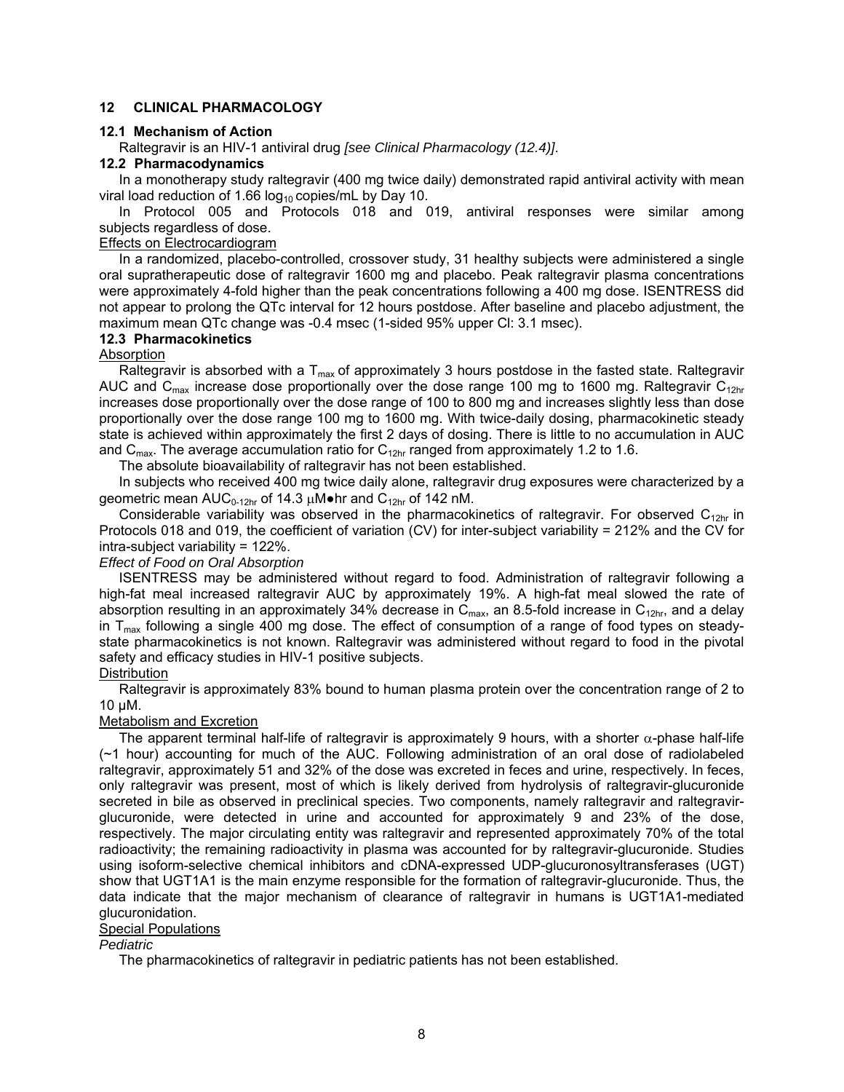## **12 CLINICAL PHARMACOLOGY**

### **12.1 Mechanism of Action**

Raltegravir is an HIV-1 antiviral drug *[see Clinical Pharmacology (12.4)]*.

## **12.2 Pharmacodynamics**

In a monotherapy study raltegravir (400 mg twice daily) demonstrated rapid antiviral activity with mean viral load reduction of 1.66  $log_{10}$  copies/mL by Day 10.

In Protocol 005 and Protocols 018 and 019, antiviral responses were similar among subjects regardless of dose.

## Effects on Electrocardiogram

In a randomized, placebo-controlled, crossover study, 31 healthy subjects were administered a single oral supratherapeutic dose of raltegravir 1600 mg and placebo. Peak raltegravir plasma concentrations were approximately 4-fold higher than the peak concentrations following a 400 mg dose. ISENTRESS did not appear to prolong the QTc interval for 12 hours postdose. After baseline and placebo adjustment, the maximum mean QTc change was -0.4 msec (1-sided 95% upper Cl: 3.1 msec).

#### **12.3 Pharmacokinetics**

#### Absorption

Raltegravir is absorbed with a  $T_{max}$  of approximately 3 hours postdose in the fasted state. Raltegravir AUC and C<sub>max</sub> increase dose proportionally over the dose range 100 mg to 1600 mg. Raltegravir C<sub>12hr</sub> increases dose proportionally over the dose range of 100 to 800 mg and increases slightly less than dose proportionally over the dose range 100 mg to 1600 mg. With twice-daily dosing, pharmacokinetic steady state is achieved within approximately the first 2 days of dosing. There is little to no accumulation in AUC and  $C_{\text{max}}$ . The average accumulation ratio for  $C_{12hr}$  ranged from approximately 1.2 to 1.6.

The absolute bioavailability of raltegravir has not been established.

In subjects who received 400 mg twice daily alone, raltegravir drug exposures were characterized by a geometric mean  $AUC_{0-12hr}$  of 14.3  $\mu$ M $\bullet$ hr and  $C_{12hr}$  of 142 nM.

Considerable variability was observed in the pharmacokinetics of raltegravir. For observed  $C_{12hr}$  in Protocols 018 and 019, the coefficient of variation (CV) for inter-subject variability = 212% and the CV for intra-subject variability = 122%.

#### *Effect of Food on Oral Absorption*

ISENTRESS may be administered without regard to food. Administration of raltegravir following a high-fat meal increased raltegravir AUC by approximately 19%. A high-fat meal slowed the rate of absorption resulting in an approximately 34% decrease in  $C_{\text{max}}$ , an 8.5-fold increase in  $C_{12\text{hr}}$ , and a delay in  $T<sub>max</sub>$  following a single 400 mg dose. The effect of consumption of a range of food types on steadystate pharmacokinetics is not known. Raltegravir was administered without regard to food in the pivotal safety and efficacy studies in HIV-1 positive subjects.

#### **Distribution**

Raltegravir is approximately 83% bound to human plasma protein over the concentration range of 2 to 10 µM.

#### Metabolism and Excretion

The apparent terminal half-life of raltegravir is approximately 9 hours, with a shorter  $\alpha$ -phase half-life (~1 hour) accounting for much of the AUC. Following administration of an oral dose of radiolabeled raltegravir, approximately 51 and 32% of the dose was excreted in feces and urine, respectively. In feces, only raltegravir was present, most of which is likely derived from hydrolysis of raltegravir-glucuronide secreted in bile as observed in preclinical species. Two components, namely raltegravir and raltegravirglucuronide, were detected in urine and accounted for approximately 9 and 23% of the dose, respectively. The major circulating entity was raltegravir and represented approximately 70% of the total radioactivity; the remaining radioactivity in plasma was accounted for by raltegravir-glucuronide. Studies using isoform-selective chemical inhibitors and cDNA-expressed UDP-glucuronosyltransferases (UGT) show that UGT1A1 is the main enzyme responsible for the formation of raltegravir-glucuronide. Thus, the data indicate that the major mechanism of clearance of raltegravir in humans is UGT1A1-mediated glucuronidation.

#### Special Populations

### *Pediatric*

The pharmacokinetics of raltegravir in pediatric patients has not been established.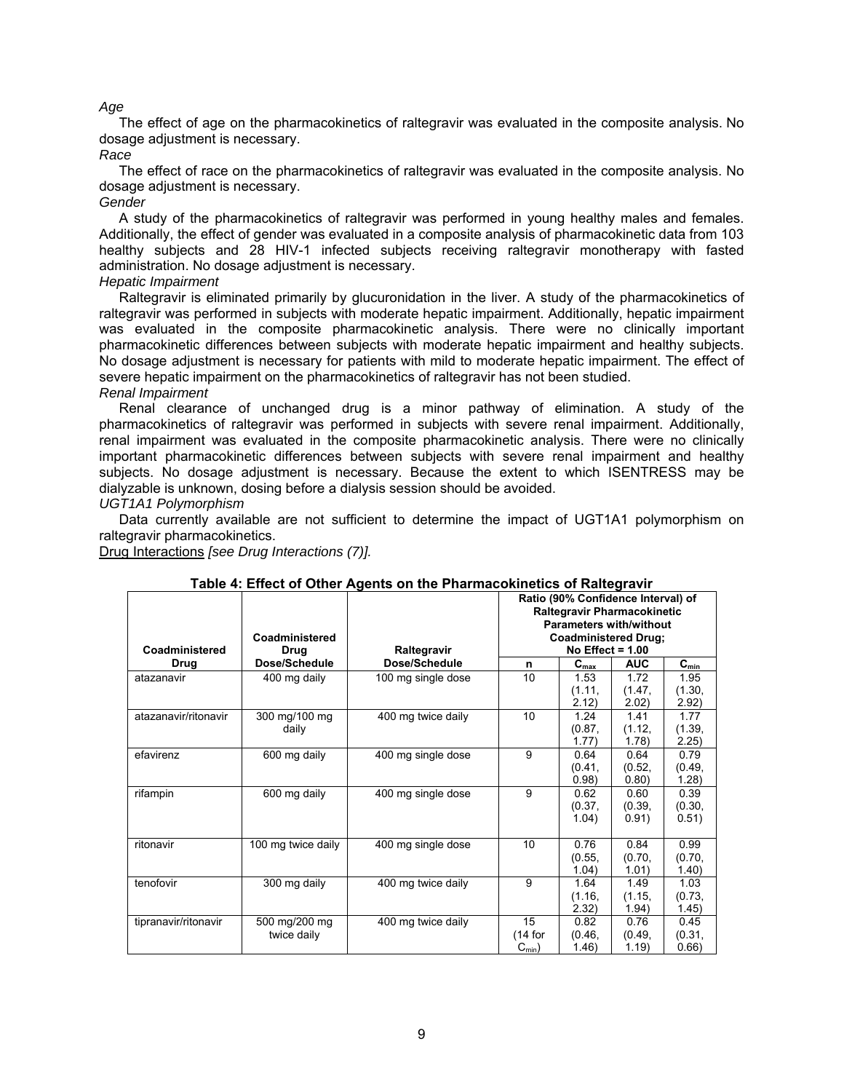## *Age*

The effect of age on the pharmacokinetics of raltegravir was evaluated in the composite analysis. No dosage adjustment is necessary.

#### *Race*

The effect of race on the pharmacokinetics of raltegravir was evaluated in the composite analysis. No dosage adjustment is necessary.

#### *Gender*

A study of the pharmacokinetics of raltegravir was performed in young healthy males and females. Additionally, the effect of gender was evaluated in a composite analysis of pharmacokinetic data from 103 healthy subjects and 28 HIV-1 infected subjects receiving raltegravir monotherapy with fasted administration. No dosage adjustment is necessary.

### *Hepatic Impairment*

Raltegravir is eliminated primarily by glucuronidation in the liver. A study of the pharmacokinetics of raltegravir was performed in subjects with moderate hepatic impairment. Additionally, hepatic impairment was evaluated in the composite pharmacokinetic analysis. There were no clinically important pharmacokinetic differences between subjects with moderate hepatic impairment and healthy subjects. No dosage adjustment is necessary for patients with mild to moderate hepatic impairment. The effect of severe hepatic impairment on the pharmacokinetics of raltegravir has not been studied.

#### *Renal Impairment*

Renal clearance of unchanged drug is a minor pathway of elimination. A study of the pharmacokinetics of raltegravir was performed in subjects with severe renal impairment. Additionally, renal impairment was evaluated in the composite pharmacokinetic analysis. There were no clinically important pharmacokinetic differences between subjects with severe renal impairment and healthy subjects. No dosage adjustment is necessary. Because the extent to which ISENTRESS may be dialyzable is unknown, dosing before a dialysis session should be avoided.

## *UGT1A1 Polymorphism*

Data currently available are not sufficient to determine the impact of UGT1A1 polymorphism on raltegravir pharmacokinetics.

Drug Interactions *[see Drug Interactions (7)].* 

| Coadministered       | Coadministered<br>Drug       | Raltegravir        | Ratio (90% Confidence Interval) of<br>Raltegravir Pharmacokinetic<br><b>Parameters with/without</b><br><b>Coadministered Drug:</b><br>No Effect = $1.00$ |                           |                         |                           |
|----------------------|------------------------------|--------------------|----------------------------------------------------------------------------------------------------------------------------------------------------------|---------------------------|-------------------------|---------------------------|
| Drug                 | Dose/Schedule                | Dose/Schedule      | n                                                                                                                                                        | $\mathbf{C}_{\text{max}}$ | <b>AUC</b>              | $\mathbf{C}_{\text{min}}$ |
| atazanavir           | 400 mg daily                 | 100 mg single dose | 10                                                                                                                                                       | 1.53<br>(1.11,<br>2.12)   | 1.72<br>(1.47,<br>2.02) | 1.95<br>(1.30,<br>2.92)   |
| atazanavir/ritonavir | 300 mg/100 mg<br>daily       | 400 mg twice daily | 10                                                                                                                                                       | 1.24<br>(0.87,<br>1.77)   | 1.41<br>(1.12,<br>1.78) | 1.77<br>(1.39,<br>2.25)   |
| efavirenz            | 600 mg daily                 | 400 mg single dose | 9                                                                                                                                                        | 0.64<br>(0.41,<br>0.98    | 0.64<br>(0.52,<br>0.80) | 0.79<br>(0.49,<br>1.28)   |
| rifampin             | 600 mg daily                 | 400 mg single dose | 9                                                                                                                                                        | 0.62<br>(0.37,<br>1.04)   | 0.60<br>(0.39,<br>0.91) | 0.39<br>(0.30,<br>0.51)   |
| ritonavir            | 100 mg twice daily           | 400 mg single dose | 10                                                                                                                                                       | 0.76<br>(0.55,<br>1.04)   | 0.84<br>(0.70,<br>1.01) | 0.99<br>(0.70,<br>1.40)   |
| tenofovir            | 300 mg daily                 | 400 mg twice daily | 9                                                                                                                                                        | 1.64<br>(1.16,<br>2.32)   | 1.49<br>(1.15,<br>1.94) | 1.03<br>(0.73,<br>1.45)   |
| tipranavir/ritonavir | 500 mg/200 mg<br>twice daily | 400 mg twice daily | 15<br>$(14$ for<br>$C_{min}$ )                                                                                                                           | 0.82<br>(0.46,<br>1.46)   | 0.76<br>(0.49,<br>1.19) | 0.45<br>(0.31,<br>0.66)   |

### **Table 4: Effect of Other Agents on the Pharmacokinetics of Raltegravir**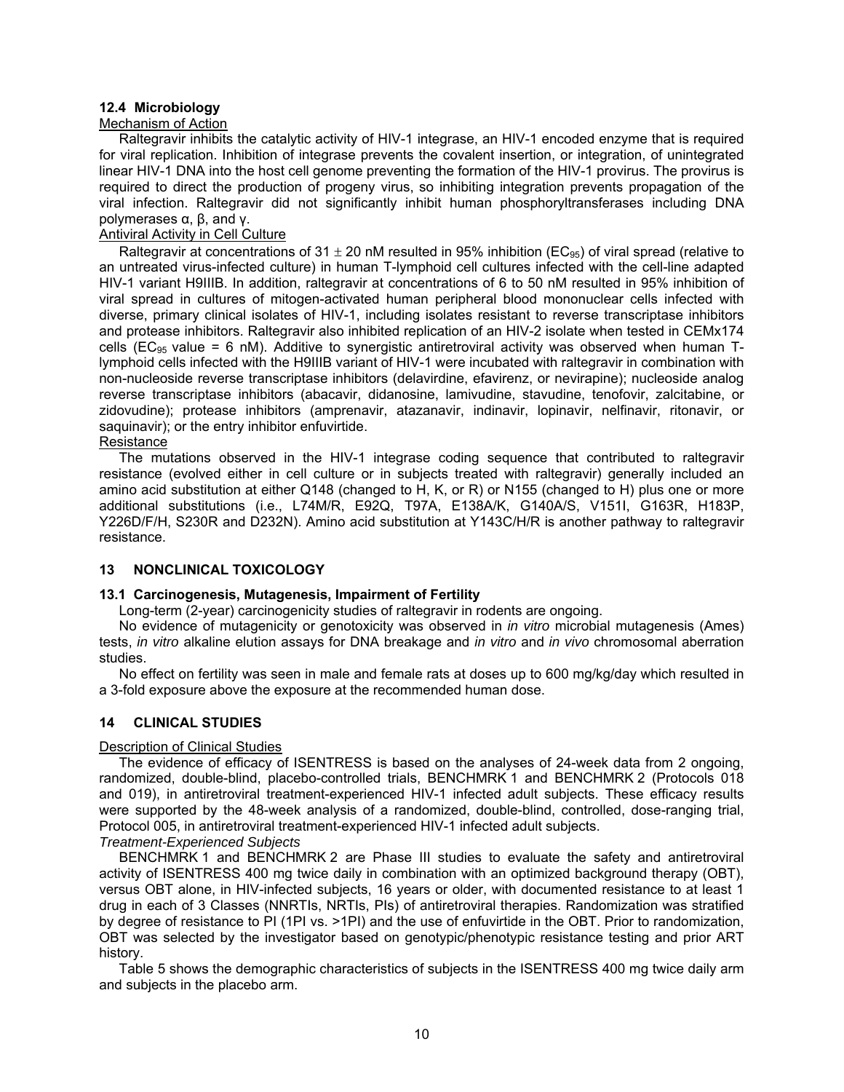## **12.4 Microbiology**

### Mechanism of Action

Raltegravir inhibits the catalytic activity of HIV-1 integrase, an HIV-1 encoded enzyme that is required for viral replication. Inhibition of integrase prevents the covalent insertion, or integration, of unintegrated linear HIV-1 DNA into the host cell genome preventing the formation of the HIV-1 provirus. The provirus is required to direct the production of progeny virus, so inhibiting integration prevents propagation of the viral infection. Raltegravir did not significantly inhibit human phosphoryltransferases including DNA polymerases α, β, and γ.

# Antiviral Activity in Cell Culture

Raltegravir at concentrations of 31  $\pm$  20 nM resulted in 95% inhibition (EC<sub>95</sub>) of viral spread (relative to an untreated virus-infected culture) in human T-lymphoid cell cultures infected with the cell-line adapted HIV-1 variant H9IIIB. In addition, raltegravir at concentrations of 6 to 50 nM resulted in 95% inhibition of viral spread in cultures of mitogen-activated human peripheral blood mononuclear cells infected with diverse, primary clinical isolates of HIV-1, including isolates resistant to reverse transcriptase inhibitors and protease inhibitors. Raltegravir also inhibited replication of an HIV-2 isolate when tested in CEMx174 cells (EC<sub>95</sub> value = 6 nM). Additive to synergistic antiretroviral activity was observed when human Tlymphoid cells infected with the H9IIIB variant of HIV-1 were incubated with raltegravir in combination with non-nucleoside reverse transcriptase inhibitors (delavirdine, efavirenz, or nevirapine); nucleoside analog reverse transcriptase inhibitors (abacavir, didanosine, lamivudine, stavudine, tenofovir, zalcitabine, or zidovudine); protease inhibitors (amprenavir, atazanavir, indinavir, lopinavir, nelfinavir, ritonavir, or saquinavir); or the entry inhibitor enfuvirtide.

**Resistance** The mutations observed in the HIV-1 integrase coding sequence that contributed to raltegravir resistance (evolved either in cell culture or in subjects treated with raltegravir) generally included an amino acid substitution at either Q148 (changed to H, K, or R) or N155 (changed to H) plus one or more additional substitutions (i.e., L74M/R, E92Q, T97A, E138A/K, G140A/S, V151I, G163R, H183P, Y226D/F/H, S230R and D232N). Amino acid substitution at Y143C/H/R is another pathway to raltegravir resistance.

### **13 NONCLINICAL TOXICOLOGY**

### **13.1 Carcinogenesis, Mutagenesis, Impairment of Fertility**

Long-term (2-year) carcinogenicity studies of raltegravir in rodents are ongoing.

No evidence of mutagenicity or genotoxicity was observed in *in vitro* microbial mutagenesis (Ames) tests, *in vitro* alkaline elution assays for DNA breakage and *in vitro* and *in vivo* chromosomal aberration studies.

No effect on fertility was seen in male and female rats at doses up to 600 mg/kg/day which resulted in a 3-fold exposure above the exposure at the recommended human dose.

## **14 CLINICAL STUDIES**

### Description of Clinical Studies

The evidence of efficacy of ISENTRESS is based on the analyses of 24-week data from 2 ongoing, randomized, double-blind, placebo-controlled trials, BENCHMRK 1 and BENCHMRK 2 (Protocols 018 and 019), in antiretroviral treatment-experienced HIV-1 infected adult subjects. These efficacy results were supported by the 48-week analysis of a randomized, double-blind, controlled, dose-ranging trial, Protocol 005, in antiretroviral treatment-experienced HIV-1 infected adult subjects.

*Treatment-Experienced Subjects* 

BENCHMRK 1 and BENCHMRK 2 are Phase III studies to evaluate the safety and antiretroviral activity of ISENTRESS 400 mg twice daily in combination with an optimized background therapy (OBT), versus OBT alone, in HIV-infected subjects, 16 years or older, with documented resistance to at least 1 drug in each of 3 Classes (NNRTIs, NRTIs, PIs) of antiretroviral therapies. Randomization was stratified by degree of resistance to PI (1PI vs. >1PI) and the use of enfuvirtide in the OBT. Prior to randomization, OBT was selected by the investigator based on genotypic/phenotypic resistance testing and prior ART history.

Table 5 shows the demographic characteristics of subjects in the ISENTRESS 400 mg twice daily arm and subjects in the placebo arm.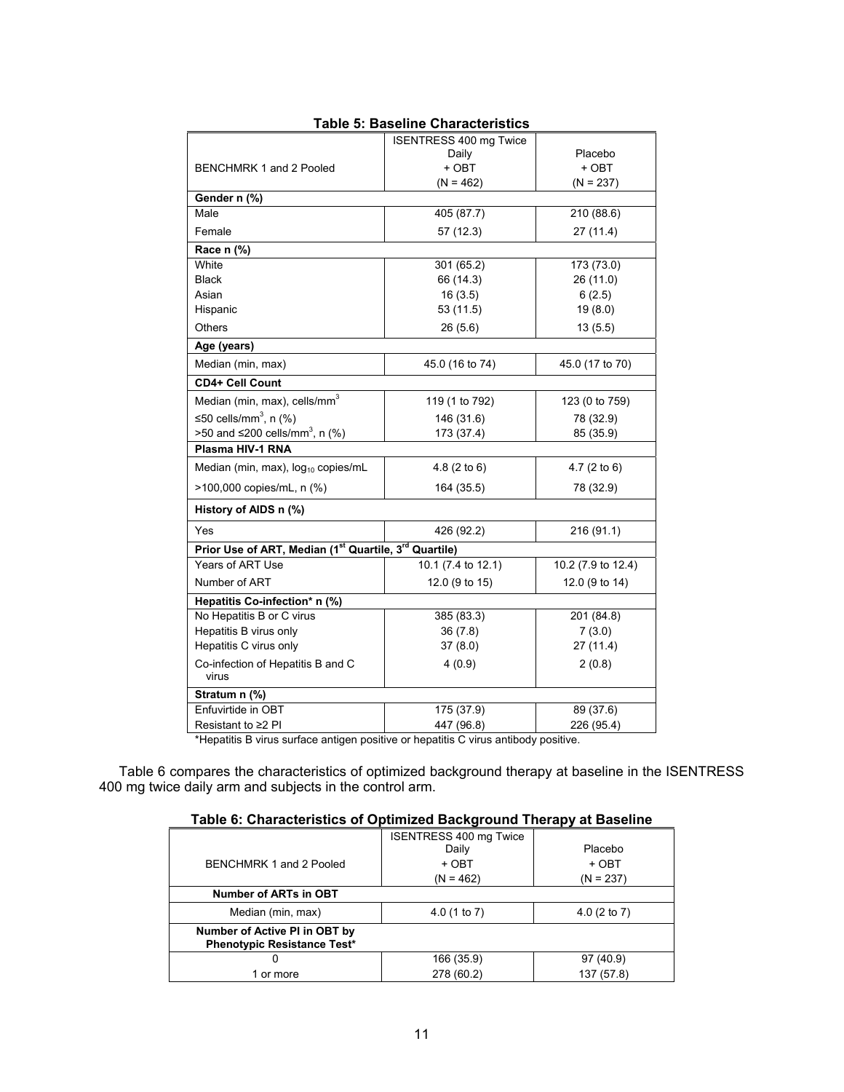| rapie J. Dasellile Origiactei istics                  |                                        |                         |  |  |  |
|-------------------------------------------------------|----------------------------------------|-------------------------|--|--|--|
|                                                       | <b>ISENTRESS 400 mg Twice</b><br>Daily | Placebo                 |  |  |  |
| BENCHMRK 1 and 2 Pooled                               | + OBT                                  | + OBT                   |  |  |  |
|                                                       | $(N = 462)$                            | $(N = 237)$             |  |  |  |
| Gender n (%)                                          |                                        |                         |  |  |  |
| Male                                                  | 405 (87.7)                             | 210 (88.6)              |  |  |  |
| Female                                                | 57 (12.3)                              | 27(11.4)                |  |  |  |
| Race n (%)                                            |                                        |                         |  |  |  |
| White                                                 | 301 (65.2)                             | 173 (73.0)              |  |  |  |
| <b>Black</b>                                          | 66 (14.3)                              | 26 (11.0)               |  |  |  |
| Asian                                                 | 16(3.5)                                | 6(2.5)                  |  |  |  |
| Hispanic                                              | 53 (11.5)                              | 19(8.0)                 |  |  |  |
| Others                                                | 26(5.6)                                | 13(5.5)                 |  |  |  |
| Age (years)                                           |                                        |                         |  |  |  |
| Median (min, max)                                     | 45.0 (16 to 74)                        | 45.0 (17 to 70)         |  |  |  |
| <b>CD4+ Cell Count</b>                                |                                        |                         |  |  |  |
| Median (min, max), cells/mm <sup>3</sup>              | 119 (1 to 792)                         | 123 (0 to 759)          |  |  |  |
| ≤50 cells/mm <sup>3</sup> , n $(%$ )                  | 146 (31.6)                             | 78 (32.9)               |  |  |  |
| >50 and ≤200 cells/mm <sup>3</sup> , n (%)            | 173 (37.4)                             | 85 (35.9)               |  |  |  |
| Plasma HIV-1 RNA                                      |                                        |                         |  |  |  |
| Median (min, max), $log_{10}$ copies/mL               | 4.8(2 to 6)                            | 4.7 $(2 \text{ to } 6)$ |  |  |  |
| >100,000 copies/mL, n (%)                             | 164 (35.5)                             | 78 (32.9)               |  |  |  |
| History of AIDS n (%)                                 |                                        |                         |  |  |  |
| Yes                                                   | 426 (92.2)                             | 216 (91.1)              |  |  |  |
| Prior Use of ART, Median (1st Quartile, 3rd Quartile) |                                        |                         |  |  |  |
| <b>Years of ART Use</b>                               | 10.1 (7.4 to 12.1)                     | 10.2 (7.9 to 12.4)      |  |  |  |
| Number of ART                                         | 12.0 (9 to 15)                         | 12.0 (9 to 14)          |  |  |  |
| Hepatitis Co-infection* n (%)                         |                                        |                         |  |  |  |
| No Hepatitis B or C virus                             | 385 (83.3)                             | 201 (84.8)              |  |  |  |
| Hepatitis B virus only                                | 36(7.8)                                | 7(3.0)                  |  |  |  |
| Hepatitis C virus only                                | 37(8.0)                                | 27(11.4)                |  |  |  |
| Co-infection of Hepatitis B and C<br>virus            | 4(0.9)                                 | 2(0.8)                  |  |  |  |
| Stratum n (%)                                         |                                        |                         |  |  |  |
| Enfuvirtide in OBT                                    | 175 (37.9)                             | 89 (37.6)               |  |  |  |
| Resistant to $\geq$ 2 Pl                              | 447 (96.8)                             | 226 (95.4)              |  |  |  |

# **Table 5: Baseline Characteristics**

\*Hepatitis B virus surface antigen positive or hepatitis C virus antibody positive.

Table 6 compares the characteristics of optimized background therapy at baseline in the ISENTRESS 400 mg twice daily arm and subjects in the control arm.

# **Table 6: Characteristics of Optimized Background Therapy at Baseline**

|                                                                     | <b>ISENTRESS 400 mg Twice</b><br>Daily | Placebo     |
|---------------------------------------------------------------------|----------------------------------------|-------------|
| BENCHMRK 1 and 2 Pooled                                             | + OBT                                  | + OBT       |
|                                                                     | $(N = 462)$                            | $(N = 237)$ |
| Number of ARTs in OBT                                               |                                        |             |
| Median (min, max)                                                   | 4.0(1 to 7)                            | 4.0(2 to 7) |
| Number of Active PI in OBT by<br><b>Phenotypic Resistance Test*</b> |                                        |             |
| O                                                                   | 166 (35.9)                             | 97(40.9)    |
| 1 or more                                                           | 278 (60.2)                             | 137 (57.8)  |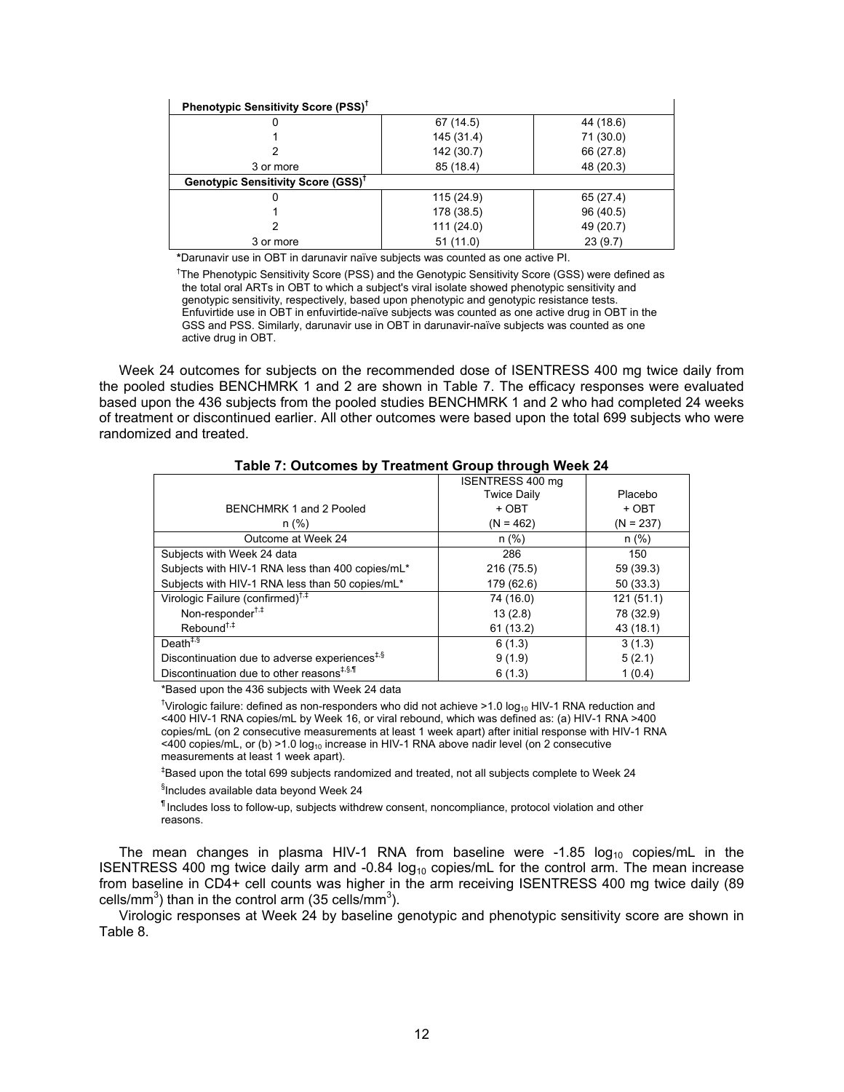| Phenotypic Sensitivity Score (PSS) <sup>†</sup> |            |           |
|-------------------------------------------------|------------|-----------|
|                                                 | 67 (14.5)  | 44 (18.6) |
|                                                 | 145 (31.4) | 71 (30.0) |
|                                                 | 142 (30.7) | 66 (27.8) |
| 3 or more                                       | 85 (18.4)  | 48 (20.3) |
| Genotypic Sensitivity Score (GSS) <sup>T</sup>  |            |           |
|                                                 | 115 (24.9) | 65 (27.4) |
|                                                 | 178 (38.5) | 96 (40.5) |
|                                                 | 111(24.0)  | 49 (20.7) |
| 3 or more                                       | 51(11.0)   | 23(9.7)   |

**\***Darunavir use in OBT in darunavir naïve subjects was counted as one active PI.

<sup>†</sup>The Phenotypic Sensitivity Score (PSS) and the Genotypic Sensitivity Score (GSS) were defined as the total oral ARTs in OBT to which a subject's viral isolate showed phenotypic sensitivity and genotypic sensitivity, respectively, based upon phenotypic and genotypic resistance tests. Enfuvirtide use in OBT in enfuvirtide-naïve subjects was counted as one active drug in OBT in the GSS and PSS. Similarly, darunavir use in OBT in darunavir-naïve subjects was counted as one active drug in OBT.

Week 24 outcomes for subjects on the recommended dose of ISENTRESS 400 mg twice daily from the pooled studies BENCHMRK 1 and 2 are shown in Table 7. The efficacy responses were evaluated based upon the 436 subjects from the pooled studies BENCHMRK 1 and 2 who had completed 24 weeks of treatment or discontinued earlier. All other outcomes were based upon the total 699 subjects who were randomized and treated.

|                                                                    | ISENTRESS 400 mg   |             |
|--------------------------------------------------------------------|--------------------|-------------|
|                                                                    | <b>Twice Daily</b> | Placebo     |
| BENCHMRK 1 and 2 Pooled                                            | + OBT              | + OBT       |
| n (%)                                                              | $(N = 462)$        | $(N = 237)$ |
| Outcome at Week 24                                                 | $n$ (%)            | n(%)        |
| Subjects with Week 24 data                                         | 286                | 150         |
| Subjects with HIV-1 RNA less than 400 copies/mL*                   | 216 (75.5)         | 59 (39.3)   |
| Subjects with HIV-1 RNA less than 50 copies/mL*                    | 179 (62.6)         | 50(33.3)    |
| Virologic Failure (confirmed) <sup>†,‡</sup>                       | 74 (16.0)          | 121(51.1)   |
| Non-responder <sup>†,‡</sup>                                       | 13(2.8)            | 78 (32.9)   |
| Rebound <sup>†,‡</sup>                                             | 61(13.2)           | 43 (18.1)   |
| Death <sup><math>\ddagger</math>, <math>\ddot{\theta}</math></sup> | 6(1.3)             | 3(1.3)      |
| Discontinuation due to adverse experiences <sup>#,§</sup>          | 9(1.9)             | 5(2.1)      |
| Discontinuation due to other reasons <sup>#,§,¶</sup>              | 6(1.3)             | 1(0.4)      |

## **Table 7: Outcomes by Treatment Group through Week 24**

\*Based upon the 436 subjects with Week 24 data

<sup>†</sup>Virologic failure: defined as non-responders who did not achieve >1.0 log<sub>10</sub> HIV-1 RNA reduction and <400 HIV-1 RNA copies/mL by Week 16, or viral rebound, which was defined as: (a) HIV-1 RNA >400 copies/mL (on 2 consecutive measurements at least 1 week apart) after initial response with HIV-1 RNA <400 copies/mL, or (b) >1.0 log<sub>10</sub> increase in HIV-1 RNA above nadir level (on 2 consecutive measurements at least 1 week apart).

‡ Based upon the total 699 subjects randomized and treated, not all subjects complete to Week 24 § Includes available data beyond Week 24

¶ Includes loss to follow-up, subjects withdrew consent, noncompliance, protocol violation and other reasons.

The mean changes in plasma HIV-1 RNA from baseline were -1.85  $log_{10}$  copies/mL in the ISENTRESS 400 mg twice daily arm and -0.84  $log_{10}$  copies/mL for the control arm. The mean increase from baseline in CD4+ cell counts was higher in the arm receiving ISENTRESS 400 mg twice daily (89 cells/mm<sup>3</sup>) than in the control arm (35 cells/mm<sup>3</sup>).

Virologic responses at Week 24 by baseline genotypic and phenotypic sensitivity score are shown in Table 8.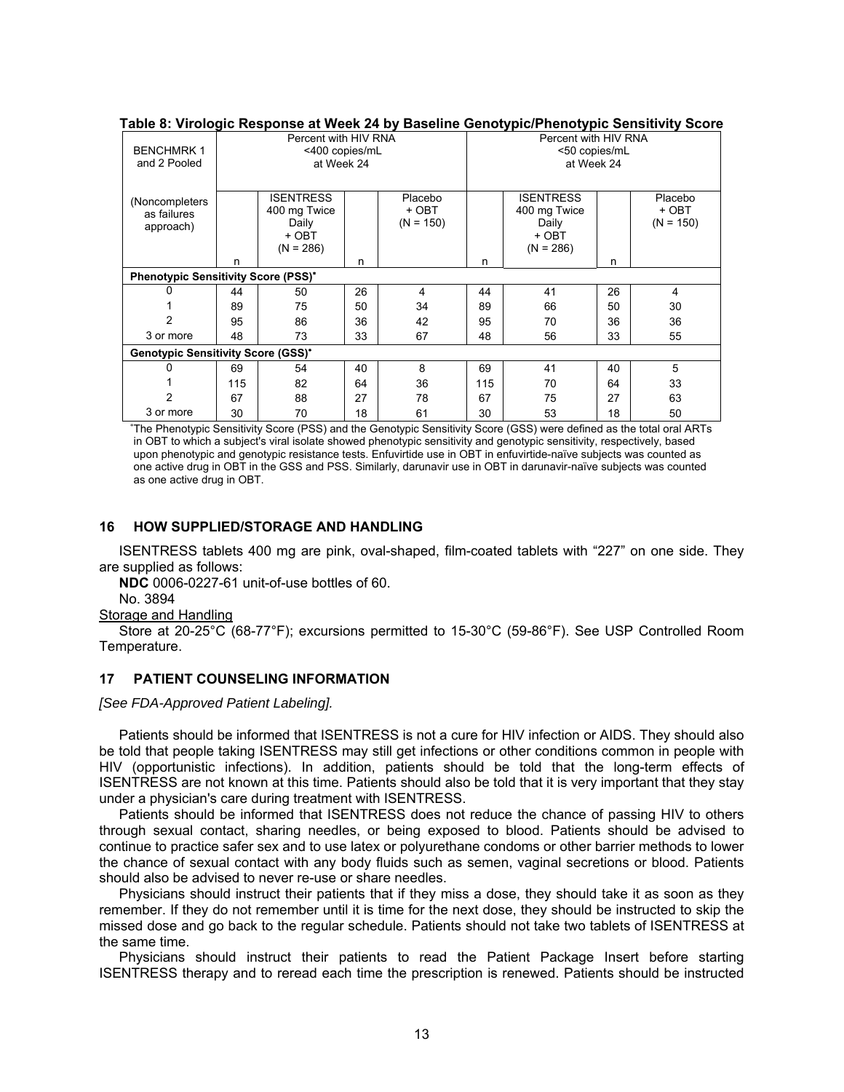|                                            | rable of virologic response at Week 24 by Dasellife Genotypic/Frienotypic Gensitivity Score |                  |                      |             |     |                  |    |             |
|--------------------------------------------|---------------------------------------------------------------------------------------------|------------------|----------------------|-------------|-----|------------------|----|-------------|
|                                            | Percent with HIV RNA                                                                        |                  | Percent with HIV RNA |             |     |                  |    |             |
| <b>BENCHMRK1</b>                           |                                                                                             | <400 copies/mL   |                      |             |     | <50 copies/mL    |    |             |
| and 2 Pooled                               |                                                                                             | at Week 24       |                      |             |     | at Week 24       |    |             |
|                                            |                                                                                             |                  |                      |             |     |                  |    |             |
| (Noncompleters)                            |                                                                                             | <b>ISENTRESS</b> |                      | Placebo     |     | <b>ISENTRESS</b> |    | Placebo     |
| as failures                                |                                                                                             | 400 mg Twice     |                      | + OBT       |     | 400 mg Twice     |    | + OBT       |
|                                            |                                                                                             | Daily            |                      | $(N = 150)$ |     | Daily            |    | $(N = 150)$ |
| approach)                                  |                                                                                             | + OBT            |                      |             |     | + OBT            |    |             |
|                                            |                                                                                             | $(N = 286)$      |                      |             |     | $(N = 286)$      |    |             |
|                                            | n                                                                                           |                  | n                    |             | n   |                  | n  |             |
| <b>Phenotypic Sensitivity Score (PSS)*</b> |                                                                                             |                  |                      |             |     |                  |    |             |
|                                            | 44                                                                                          | 50               | 26                   | 4           | 44  | 41               | 26 | 4           |
|                                            | 89                                                                                          | 75               | 50                   | 34          | 89  | 66               | 50 | 30          |
| 2                                          | 95                                                                                          | 86               | 36                   | 42          | 95  | 70               | 36 | 36          |
| 3 or more                                  | 48                                                                                          | 73               | 33                   | 67          | 48  | 56               | 33 | 55          |
| <b>Genotypic Sensitivity Score (GSS)*</b>  |                                                                                             |                  |                      |             |     |                  |    |             |
|                                            | 69                                                                                          | 54               | 40                   | 8           | 69  | 41               | 40 | 5           |
|                                            | 115                                                                                         | 82               | 64                   | 36          | 115 | 70               | 64 | 33          |
| 2                                          | 67                                                                                          | 88               | 27                   | 78          | 67  | 75               | 27 | 63          |
| 3 or more                                  | 30                                                                                          | 70               | 18                   | 61          | 30  | 53               | 18 | 50          |

# **Table 8: Virologic Response at Week 24 by Baseline Genotypic/Phenotypic Sensitivity Score**

∗ The Phenotypic Sensitivity Score (PSS) and the Genotypic Sensitivity Score (GSS) were defined as the total oral ARTs in OBT to which a subject's viral isolate showed phenotypic sensitivity and genotypic sensitivity, respectively, based upon phenotypic and genotypic resistance tests. Enfuvirtide use in OBT in enfuvirtide-naïve subjects was counted as one active drug in OBT in the GSS and PSS. Similarly, darunavir use in OBT in darunavir-naïve subjects was counted as one active drug in OBT.

## **16 HOW SUPPLIED/STORAGE AND HANDLING**

ISENTRESS tablets 400 mg are pink, oval-shaped, film-coated tablets with "227" on one side. They are supplied as follows:

**NDC** 0006-0227-61 unit-of-use bottles of 60.

No. 3894

Storage and Handling

Store at 20-25°C (68-77°F); excursions permitted to 15-30°C (59-86°F). See USP Controlled Room Temperature.

## **17 PATIENT COUNSELING INFORMATION**

*[See FDA-Approved Patient Labeling].* 

Patients should be informed that ISENTRESS is not a cure for HIV infection or AIDS. They should also be told that people taking ISENTRESS may still get infections or other conditions common in people with HIV (opportunistic infections). In addition, patients should be told that the long-term effects of ISENTRESS are not known at this time. Patients should also be told that it is very important that they stay under a physician's care during treatment with ISENTRESS.

Patients should be informed that ISENTRESS does not reduce the chance of passing HIV to others through sexual contact, sharing needles, or being exposed to blood. Patients should be advised to continue to practice safer sex and to use latex or polyurethane condoms or other barrier methods to lower the chance of sexual contact with any body fluids such as semen, vaginal secretions or blood. Patients should also be advised to never re-use or share needles.

Physicians should instruct their patients that if they miss a dose, they should take it as soon as they remember. If they do not remember until it is time for the next dose, they should be instructed to skip the missed dose and go back to the regular schedule. Patients should not take two tablets of ISENTRESS at the same time.

Physicians should instruct their patients to read the Patient Package Insert before starting ISENTRESS therapy and to reread each time the prescription is renewed. Patients should be instructed